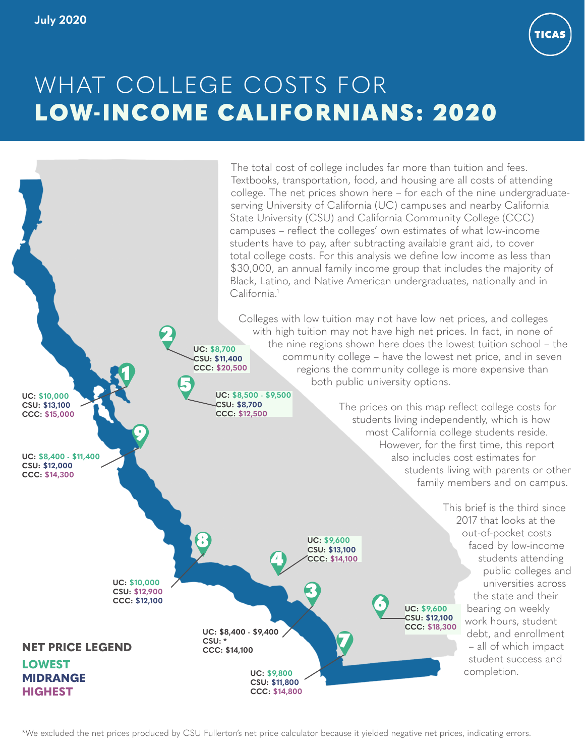

# WHAT COLLEGE COSTS FOR LOW-INCOME CALIFORNIANS: 2020



\*We excluded the net prices produced by CSU Fullerton's net price calculator because it yielded negative net prices, indicating errors.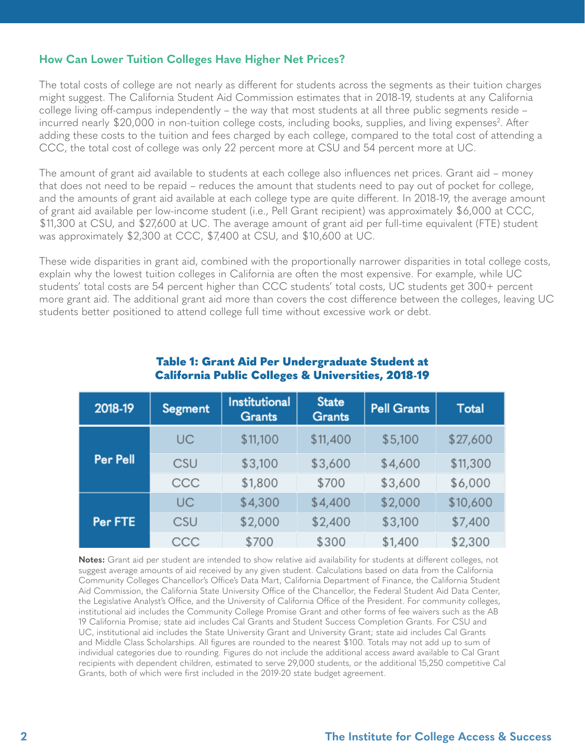#### <span id="page-1-0"></span>**How Can Lower Tuition Colleges Have Higher Net Prices?**

The total costs of college are not nearly as different for students across the segments as their tuition charges might suggest. The California Student Aid Commission estimates that in 2018-19, students at any California college living off-campus independently – the way that most students at all three public segments reside – incurred nearly \$20,000 in non-tuition college costs, including books, supplies, and living expenses<sup>2</sup>. After adding these costs to the tuition and fees charged by each college, compared to the total cost of attending a CCC, the total cost of college was only 22 percent more at CSU and 54 percent more at UC.

The amount of grant aid available to students at each college also influences net prices. Grant aid – money that does not need to be repaid – reduces the amount that students need to pay out of pocket for college, and the amounts of grant aid available at each college type are quite different. In 2018-19, the average amount of grant aid available per low-income student (i.e., Pell Grant recipient) was approximately \$6,000 at CCC, \$11,300 at CSU, and \$27,600 at UC. The average amount of grant aid per full-time equivalent (FTE) student was approximately \$2,300 at CCC, \$7,400 at CSU, and \$10,600 at UC.

These wide disparities in grant aid, combined with the proportionally narrower disparities in total college costs, explain why the lowest tuition colleges in California are often the most expensive. For example, while UC students' total costs are 54 percent higher than CCC students' total costs, UC students get 300+ percent more grant aid. The additional grant aid more than covers the cost difference between the colleges, leaving UC students better positioned to attend college full time without excessive work or debt.

| 2018-19         | <b>Segment</b> | <b>Institutional</b><br><b>Grants</b> | <b>State</b><br><b>Grants</b> | <b>Pell Grants</b> | Total    |
|-----------------|----------------|---------------------------------------|-------------------------------|--------------------|----------|
|                 | UC             | \$11,100                              | \$11,400                      | \$5,100            | \$27,600 |
| <b>Per Pell</b> | CSU            | \$3,100                               | \$3,600                       | \$4,600            | \$11,300 |
|                 | CCC            | \$1,800                               | \$700                         | \$3,600            | \$6,000  |
|                 | UC             | \$4,300                               | \$4,400                       | \$2,000            | \$10,600 |
| Per FTE         | CSU            | \$2,000                               | \$2,400                       | \$3,100            | \$7,400  |
|                 | CCC            | \$700                                 | \$300                         | \$1,400            | \$2,300  |

#### Table 1: Grant Aid Per Undergraduate Student at California Public Colleges & Universities, 2018-19

**Notes:** Grant aid per student are intended to show relative aid availability for students at different colleges, not suggest average amounts of aid received by any given student. Calculations based on data from the California Community Colleges Chancellor's Office's Data Mart, California Department of Finance, the California Student Aid Commission, the California State University Office of the Chancellor, the Federal Student Aid Data Center, the Legislative Analyst's Office, and the University of California Office of the President. For community colleges, institutional aid includes the Community College Promise Grant and other forms of fee waivers such as the AB 19 California Promise; state aid includes Cal Grants and Student Success Completion Grants. For CSU and UC, institutional aid includes the State University Grant and University Grant; state aid includes Cal Grants and Middle Class Scholarships. All figures are rounded to the nearest \$100. Totals may not add up to sum of individual categories due to rounding. Figures do not include the additional access award available to Cal Grant recipients with dependent children, estimated to serve 29,000 students, or the additional 15,250 competitive Cal Grants, both of which were first included in the 2019-20 state budget agreement.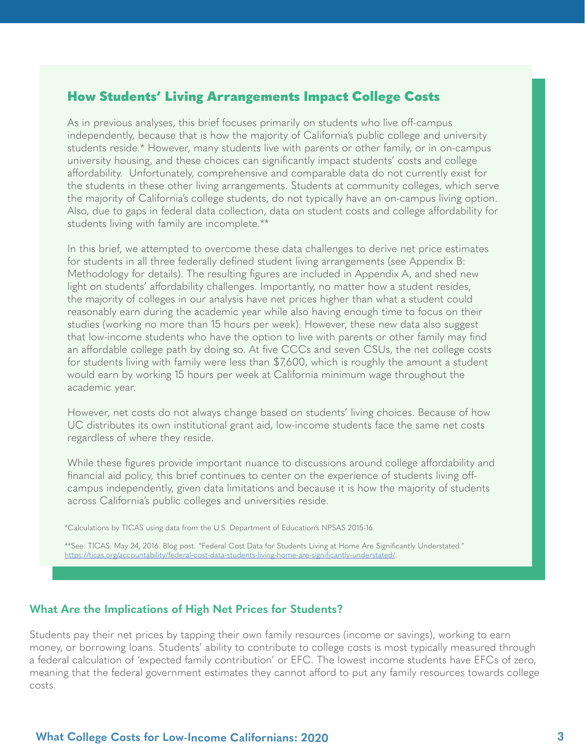#### How Students' Living Arrangements Impact College Costs

As in previous analyses, this brief focuses primarily on students who live off-campus independently, because that is how the majority of California's public college and university students reside.\* However, many students live with parents or other family, or in on-campus university housing, and these choices can significantly impact students' costs and college affordability. Unfortunately, comprehensive and comparable data do not currently exist for the students in these other living arrangements. Students at community colleges, which serve the majority of California's college students, do not typically have an on-campus living option. Also, due to gaps in federal data collection, data on student costs and college affordability for students living with family are incomplete.\*\*

In this brief, we attempted to overcome these data challenges to derive net price estimates for students in all three federally defined student living arrangements (see Appendix B: Methodology for details). The resulting figures are included in Appendix A, and shed new light on students' affordability challenges. Importantly, no matter how a student resides, the majority of colleges in our analysis have net prices higher than what a student could reasonably earn during the academic year while also having enough time to focus on their studies (working no more than 15 hours per week). However, these new data also suggest that low-income students who have the option to live with parents or other family may find an affordable college path by doing so. At five CCCs and seven CSUs, the net college costs for students living with family were less than \$7,600, which is roughly the amount a student would earn by working 15 hours per week at California minimum wage throughout the academic year.

However, net costs do not always change based on students' living choices. Because of how UC distributes its own institutional grant aid, low-income students face the same net costs regardless of where they reside.

While these figures provide important nuance to discussions around college affordability and financial aid policy, this brief continues to center on the experience of students living offcampus independently, given data limitations and because it is how the majority of students across California's public colleges and universities reside.

\*Calculations by TICAS using data from the U.S. Department of Education's NPSAS 2015-16.

\*\*See: TICAS. May 24, 2016. Blog post. "Federal Cost Data for Students Living at Home Are Significantly Understated." [https://ticas.org/accountability/federal-cost-data-students-living-home-are-significantly-understated/](https://ticas.org/accountability/federal-cost-data-students-living-home-are-significantly-understate).

#### **What Are the Implications of High Net Prices for Students?**

Students pay their net prices by tapping their own family resources (income or savings), working to earn money, or borrowing loans. Students' ability to contribute to college costs is most typically measured through a federal calculation of 'expected family contribution' or EFC. The lowest income students have EFCs of zero, meaning that the federal government estimates they cannot afford to put any family resources towards college costs.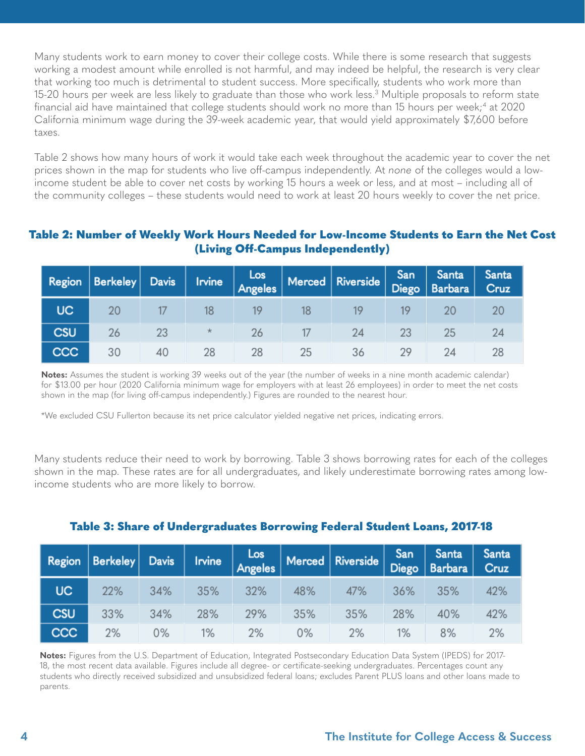<span id="page-3-0"></span>Many students work to earn money to cover their college costs. While there is some research that suggests working a modest amount while enrolled is not harmful, and may indeed be helpful, the research is very clear that working too much is detrimental to student success. More specifically, students who work more than 15-20 hours per week are less likely to graduate than those who work less.<sup>[3](#page-9-0)</sup> Multiple proposals to reform state financial aid have maintained that college students should work no more than 15 hours per week;<sup>4</sup> at 2020 California minimum wage during the 39-week academic year, that would yield approximately \$7,600 before taxes.

Table 2 shows how many hours of work it would take each week throughout the academic year to cover the net prices shown in the map for students who live off-campus independently. At *none* of the colleges would a lowincome student be able to cover net costs by working 15 hours a week or less, and at most – including all of the community colleges – these students would need to work at least 20 hours weekly to cover the net price.

#### Table 2: Number of Weekly Work Hours Needed for Low-Income Students to Earn the Net Cost (Living Off-Campus Independently)

| <b>Region</b> | $ $ Berkeley $ $ | Davis | <b>Irvine</b> | Los<br>Angeles |    | $\mid$ Merced $\mid$ Riverside $\mid$ |    | San Santa<br>Diego Barbara | Santa<br>Cruz |  |
|---------------|------------------|-------|---------------|----------------|----|---------------------------------------|----|----------------------------|---------------|--|
| UC.           | 20               |       | 18            | 19             | 18 | 19                                    | 19 |                            |               |  |
| <b>CSU</b>    | 26               | 23    | *             | 26             |    | 24                                    | 23 | 25                         |               |  |
| CCC           | 30               | 40    | 28            | 28             | 25 | 36                                    | 29 | 24                         |               |  |

**Notes:** Assumes the student is working 39 weeks out of the year (the number of weeks in a nine month academic calendar) for \$13.00 per hour (2020 California minimum wage for employers with at least 26 employees) in order to meet the net costs shown in the map (for living off-campus independently.) Figures are rounded to the nearest hour.

\*We excluded CSU Fullerton because its net price calculator yielded negative net prices, indicating errors.

Many students reduce their need to work by borrowing. Table 3 shows borrowing rates for each of the colleges shown in the map. These rates are for all undergraduates, and likely underestimate borrowing rates among lowincome students who are more likely to borrow.

## Table 3: Share of Undergraduates Borrowing Federal Student Loans, 2017-18

|            |     |       |       |     |     | Region Berkeley Davis Irvine Angeles Merced Riverside |        | San   Santa  <br>$ $ Diego   Barbara | Santa<br>Cruz |  |
|------------|-----|-------|-------|-----|-----|-------------------------------------------------------|--------|--------------------------------------|---------------|--|
| UC.        | 22% | 34%   | 35%   | 32% | 48% | 47%                                                   | $36\%$ | 35%                                  | 42%           |  |
| <b>CSU</b> | 33% | 34%   | 28%   | 29% | 35% | 35%                                                   | 28%    | 40%                                  | 42%           |  |
| <b>CCC</b> | 2%  | $0\%$ | $1\%$ | 2%  | 0%  | 2%                                                    | $1\%$  | 8%                                   | 2%            |  |

**Notes:** Figures from the U.S. Department of Education, Integrated Postsecondary Education Data System (IPEDS) for 2017- 18, the most recent data available. Figures include all degree- or certificate-seeking undergraduates. Percentages count any students who directly received subsidized and unsubsidized federal loans; excludes Parent PLUS loans and other loans made to parents.

#### **4 The Institute for College Access & Success**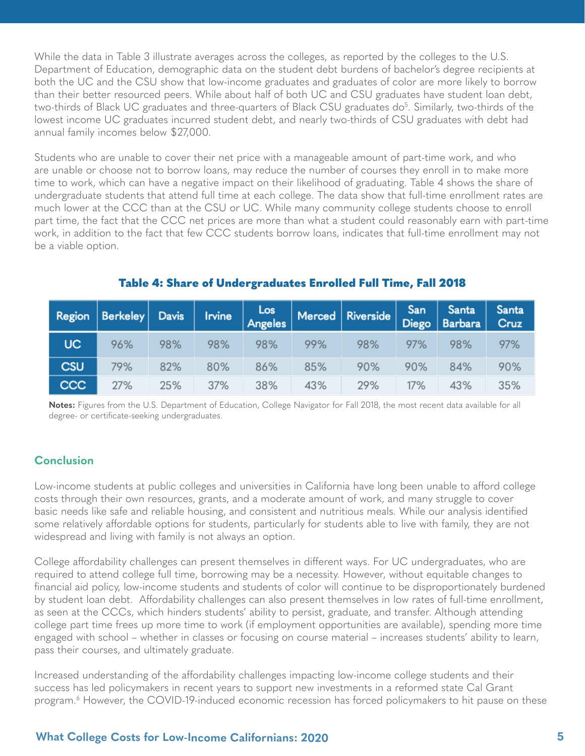<span id="page-4-0"></span>While the data in Table 3 illustrate averages across the colleges, as reported by the colleges to the U.S. Department of Education, demographic data on the student debt burdens of bachelor's degree recipients at both the UC and the CSU show that low-income graduates and graduates of color are more likely to borrow than their better resourced peers. While about half of both UC and CSU graduates have student loan debt, two-thirds of Black UC graduates and three-quarters of Black CSU graduates do<sup>[5](#page-9-0)</sup>. Similarly, two-thirds of the lowest income UC graduates incurred student debt, and nearly two-thirds of CSU graduates with debt had annual family incomes below \$27,000.

Students who are unable to cover their net price with a manageable amount of part-time work, and who are unable or choose not to borrow loans, may reduce the number of courses they enroll in to make more time to work, which can have a negative impact on their likelihood of graduating. Table 4 shows the share of undergraduate students that attend full time at each college. The data show that full-time enrollment rates are much lower at the CCC than at the CSU or UC. While many community college students choose to enroll part time, the fact that the CCC net prices are more than what a student could reasonably earn with part-time work, in addition to the fact that few CCC students borrow loans, indicates that full-time enrollment may not be a viable option.

|            |     |     | Region   Berkeley   Davis   Irvine $\begin{vmatrix} \text{Los} \\ \text{Angles} \end{vmatrix}$ Merced   Riverside |     |     |     |     | San Santa<br>Diego Barbara | <b>Santa</b><br>Cruz |  |
|------------|-----|-----|-------------------------------------------------------------------------------------------------------------------|-----|-----|-----|-----|----------------------------|----------------------|--|
| <b>UC</b>  | 96% | 98% | 98%                                                                                                               | 98% | 99% | 98% | 97% | 98%                        | 97%                  |  |
| <b>CSU</b> | 79% | 82% | 80%                                                                                                               | 86% | 85% | 90% | 90% | 84%                        | 90%                  |  |
| ccc        | 27% | 25% | 37%                                                                                                               | 38% | 43% | 29% | 17% | 43%                        | 35%                  |  |

#### Table 4: Share of Undergraduates Enrolled Full Time, Fall 2018

**Notes:** Figures from the U.S. Department of Education, College Navigator for Fall 2018, the most recent data available for all degree- or certificate-seeking undergraduates.

#### **Conclusion**

Low-income students at public colleges and universities in California have long been unable to afford college costs through their own resources, grants, and a moderate amount of work, and many struggle to cover basic needs like safe and reliable housing, and consistent and nutritious meals. While our analysis identified some relatively affordable options for students, particularly for students able to live with family, they are not widespread and living with family is not always an option.

College affordability challenges can present themselves in different ways. For UC undergraduates, who are required to attend college full time, borrowing may be a necessity. However, without equitable changes to financial aid policy, low-income students and students of color will continue to be disproportionately burdened by student loan debt. Affordability challenges can also present themselves in low rates of full-time enrollment, as seen at the CCCs, which hinders students' ability to persist, graduate, and transfer. Although attending college part time frees up more time to work (if employment opportunities are available), spending more time engaged with school – whether in classes or focusing on course material – increases students' ability to learn, pass their courses, and ultimately graduate.

Increased understanding of the affordability challenges impacting low-income college students and their success has led policymakers in recent years to support new investments in a reformed state Cal Grant program.[6](#page-9-0) However, the COVID-19-induced economic recession has forced policymakers to hit pause on these

#### **What College Costs for Low-Income Californians: 2020 5**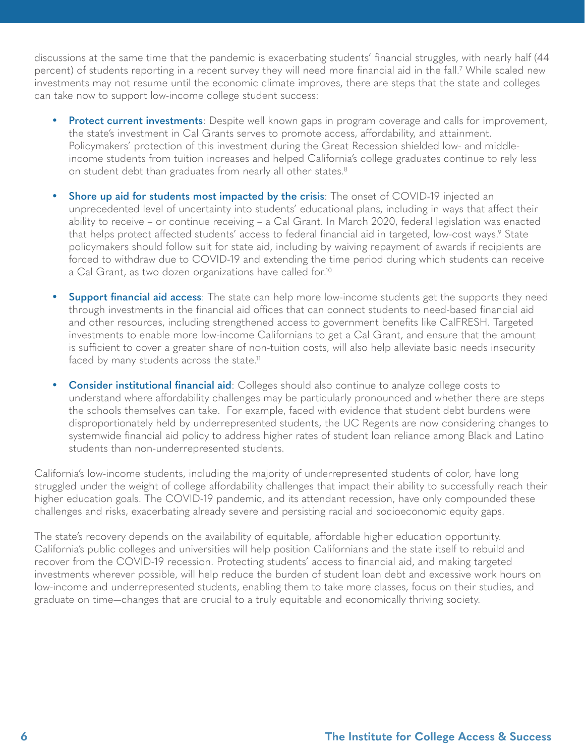<span id="page-5-0"></span>discussions at the same time that the pandemic is exacerbating students' financial struggles, with nearly half (44 percent) of students reporting in a recent survey they will need more financial aid in the fall.[7](#page-9-0) While scaled new investments may not resume until the economic climate improves, there are steps that the state and colleges can take now to support low-income college student success:

- **Protect current investments**: Despite well known gaps in program coverage and calls for improvement, the state's investment in Cal Grants serves to promote access, affordability, and attainment. Policymakers' protection of this investment during the Great Recession shielded low- and middleincome students from tuition increases and helped California's college graduates continue to rely less on student debt than graduates from nearly all other states.<sup>8</sup>
- **Shore up aid for students most impacted by the crisis**: The onset of COVID-19 injected an unprecedented level of uncertainty into students' educational plans, including in ways that affect their ability to receive – or continue receiving – a Cal Grant. In March 2020, federal legislation was enacted that helps protect affected students' access to federal financial aid in targeted, low-cost ways.<sup>[9](#page-9-0)</sup> State policymakers should follow suit for state aid, including by waiving repayment of awards if recipients are forced to withdraw due to COVID-19 and extending the time period during which students can receive a Cal Grant, as two dozen organizations have called for.<sup>[10](#page-9-0)</sup>
- **• Support financial aid access**: The state can help more low-income students get the supports they need through investments in the financial aid offices that can connect students to need-based financial aid and other resources, including strengthened access to government benefits like CalFRESH. Targeted investments to enable more low-income Californians to get a Cal Grant, and ensure that the amount is sufficient to cover a greater share of non-tuition costs, will also help alleviate basic needs insecurity faced by many students across the state.<sup>11</sup>
- **• Consider institutional financial aid**: Colleges should also continue to analyze college costs to understand where affordability challenges may be particularly pronounced and whether there are steps the schools themselves can take. For example, faced with evidence that student debt burdens were disproportionately held by underrepresented students, the UC Regents are now considering changes to systemwide financial aid policy to address higher rates of student loan reliance among Black and Latino students than non-underrepresented students.

California's low-income students, including the majority of underrepresented students of color, have long struggled under the weight of college affordability challenges that impact their ability to successfully reach their higher education goals. The COVID-19 pandemic, and its attendant recession, have only compounded these challenges and risks, exacerbating already severe and persisting racial and socioeconomic equity gaps.

The state's recovery depends on the availability of equitable, affordable higher education opportunity. California's public colleges and universities will help position Californians and the state itself to rebuild and recover from the COVID-19 recession. Protecting students' access to financial aid, and making targeted investments wherever possible, will help reduce the burden of student loan debt and excessive work hours on low-income and underrepresented students, enabling them to take more classes, focus on their studies, and graduate on time—changes that are crucial to a truly equitable and economically thriving society.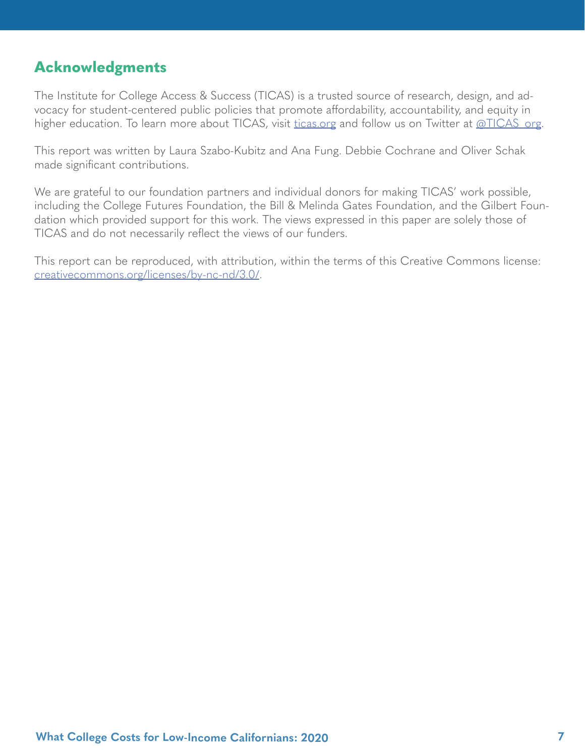## **Acknowledgments**

The Institute for College Access & Success (TICAS) is a trusted source of research, design, and advocacy for student-centered public policies that promote affordability, accountability, and equity in higher education. To learn more about TICAS, visit [ticas.org](http://ticas.org) and follow us on Twitter at [@TICAS\\_org.](https://twitter.com/TICAS_org)

This report was written by Laura Szabo-Kubitz and Ana Fung. Debbie Cochrane and Oliver Schak made significant contributions.

We are grateful to our foundation partners and individual donors for making TICAS' work possible, including the College Futures Foundation, the Bill & Melinda Gates Foundation, and the Gilbert Foundation which provided support for this work. The views expressed in this paper are solely those of TICAS and do not necessarily reflect the views of our funders.

This report can be reproduced, with attribution, within the terms of this Creative Commons license: [creativecommons.org/licenses/by-nc-nd/3.0/](http://creativecommons.org/licenses/by-nc-nd/3.0/).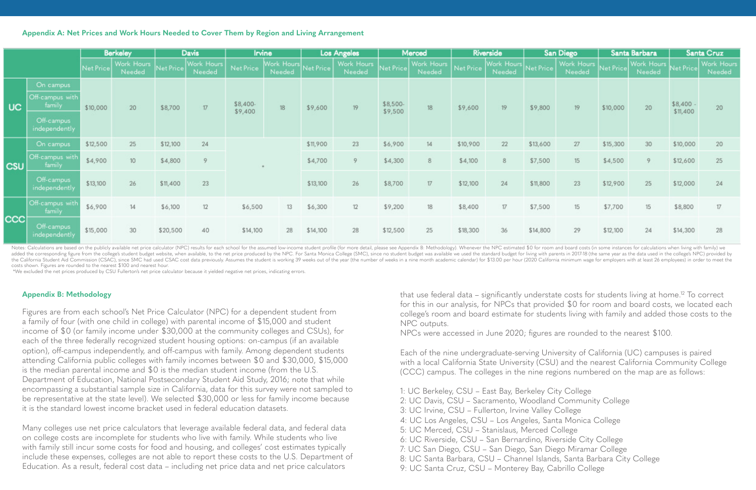#### <span id="page-7-0"></span>**Appendix A: Net Prices and Work Hours Needed to Cover Them by Region and Living Arrangement**

|            |                                                                       | <b>Berkeley</b> |                      | <b>Davis</b> |                      | <b>Irvine</b>       |                      | <b>Los Angeles</b><br>Merced |                      | Riverside           |                      | San Diego |                                | Santa Barbara |                      | Santa Cruz |                      |                      |                      |
|------------|-----------------------------------------------------------------------|-----------------|----------------------|--------------|----------------------|---------------------|----------------------|------------------------------|----------------------|---------------------|----------------------|-----------|--------------------------------|---------------|----------------------|------------|----------------------|----------------------|----------------------|
|            |                                                                       | Net Price       | Work Hours<br>Needed | Net Price    | Work Hours<br>Needed | Net Price           | Work Hours<br>Needed | Net Price                    | Work Hours<br>Needed | Net Price           | Work Hours<br>Needed | Net Price | Work Hours Net Price<br>Needed |               | Work Hours<br>Needed | Net Price  | Work Hours<br>Needed | Net Price            | Work Hours<br>Needed |
| <b>UC</b>  | On campus<br>Off-campus with<br>family<br>Off-campus<br>independently | \$10,000        | 20                   | \$8,700      | 17                   | \$8,400-<br>\$9,400 | 18                   | \$9,600                      | 19                   | \$8,500-<br>\$9,500 | 18                   | \$9,600   | -19                            | \$9,800       | 19                   | \$10,000   | 20                   | \$8,400.<br>\$11,400 | 20                   |
| <b>CSU</b> | On campus                                                             | \$12,500        | 25                   | \$12,100     | 24                   |                     |                      |                              | 23                   | \$6,900             | 14                   | \$10,900  | 22                             | \$13,600      | 27                   | \$15,300   | 30                   | \$10,000             | 20                   |
|            | Off-campus with<br>family                                             | \$4,900         | 10 <sup>10</sup>     | \$4,800      | 9                    | $\pm$               | \$4,700              | 9                            | \$4,300              | 8                   | \$4,100              | 8         | \$7,500                        | 15            | \$4,500              | 9          | \$12,600             | 25                   |                      |
|            | Off-campus<br>independently                                           | \$13,100        | 26                   | \$11,400     | 23                   |                     |                      | \$13,100                     | 26                   | \$8,700             | 17                   | \$12,100  | 24                             | \$11,800      | 23                   | \$12,900   | 25                   | \$12,000             | 24                   |
| <b>CCC</b> | Off-campus with<br>family                                             | \$6,900         | 14                   | \$6,100      | 12                   | \$6,500             | 13                   | \$6,300                      | 12                   | \$9,200             | 18                   | \$8,400   | 17                             | \$7,500       | 15                   | \$7,700    | 15                   | \$8,800              | 17                   |
|            | Off-campus<br>independently                                           | \$15,000        | 30                   | \$20,500     | 40                   | \$14,100            | 28                   | \$14,100                     | 28                   | \$12,500            | 25                   | \$18,300  | 36                             | \$14,800      | 29                   | \$12,100   | 24                   | \$14,300             | 28                   |

#### **Appendix B: Methodology**

Figures are from each school's Net Price Calculator (NPC) for a dependent student from a family of four (with one child in college) with parental income of \$15,000 and student income of \$0 (or family income under \$30,000 at the community colleges and CSUs), for each of the three federally recognized student housing options: on-campus (if an available option), off-campus independently, and off-campus with family. Among dependent students attending California public colleges with family incomes between \$0 and \$30,000, \$15,000 is the median parental income and \$0 is the median student income (from the U.S. Department of Education, National Postsecondary Student Aid Study, 2016; note that while encompassing a substantial sample size in California, data for this survey were not sampled to be representative at the state level). We selected \$30,000 or less for family income because it is the standard lowest income bracket used in federal education datasets.

that use federal data – significantly understate costs for students living at home.<sup>12</sup> To correct for this in our analysis, for NPCs that provided \$0 for room and board costs, we located each college's room and board estimate for students living with family and added those costs to the NPC outputs.

Many colleges use net price calculators that leverage available federal data, and federal data on college costs are incomplete for students who live with family. While students who live with family still incur some costs for food and housing, and colleges' cost estimates typically include these expenses, colleges are not able to report these costs to the U.S. Department of Education. As a result, federal cost data – including net price data and net price calculators

Notes: Calculations are based on the publicly available net price calculator (NPC) results for each school for the assumed low-income student profile (for more detail, please see Appendix B: Methodology). Whenever the NPC added the corresponding figure from the college's student budget website, when available, to the net price produced by the NPC. For Santa Monica College (SMC), since no student budget was available we used the standard bud the California Student Aid Commission (CSAC), since SMC had used CSAC cost data previously. Assumes the student is working 39 weeks out of the year (the number of weeks in a nine month academic calendar) for \$13.00 per hou costs shown. Figures are rounded to the nearest \$100 and nearest hour.

NPCs were accessed in June 2020; figures are rounded to the nearest \$100.

Each of the nine undergraduate-serving University of California (UC) campuses is paired with a local California State University (CSU) and the nearest California Community College (CCC) campus. The colleges in the nine regions numbered on the map are as follows:

1: UC Berkeley, CSU – East Bay, Berkeley City College 2: UC Davis, CSU – Sacramento, Woodland Community College 3: UC Irvine, CSU – Fullerton, Irvine Valley College 4: UC Los Angeles, CSU – Los Angeles, Santa Monica College 5: UC Merced, CSU – Stanislaus, Merced College 6: UC Riverside, CSU – San Bernardino, Riverside City College 7: UC San Diego, CSU – San Diego, San Diego Miramar College 8: UC Santa Barbara, CSU – Channel Islands, Santa Barbara City College 9: UC Santa Cruz, CSU – Monterey Bay, Cabrillo College

- 
- 
- 
- 
- 
- 
- 
- 
- 

\*We excluded the net prices produced by CSU Fullerton's net price calculator because it yielded negative net prices, indicating errors.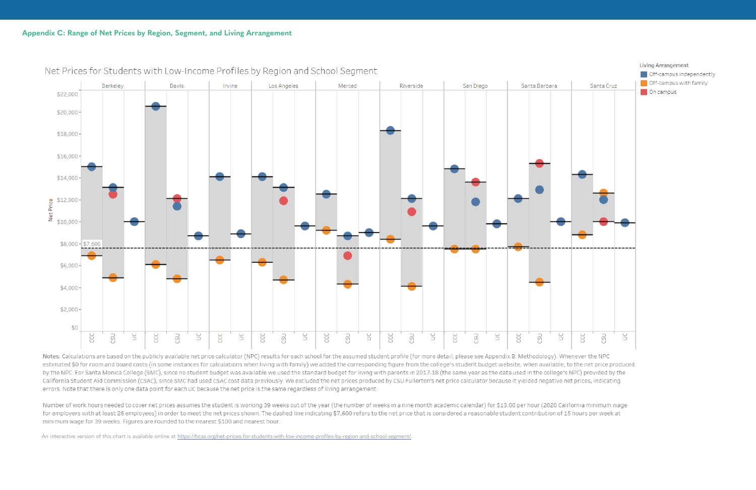

Net Prices for Students with Low-Income Profiles by Region and School Segment

Notes: Calculations are based on the publicly available net price calculator (NPC) results for each school for the assumed student profile (for more detail, please see Appendix B: Methodology). Whenever the NPC estimated \$0 for room and board costs (in some instances for calculations when living with family) we added the corresponding figure from the college's student budget website, when available, to the net price produced by the NPC. For Santa Monica College (SMC), since no student budget was available we used the standard budget for living with parents in 2017-18 (the same year as the data used in the college's NPC) provided by the California Student Aid Commission (CSAC), since SMC had used CSAC cost data previously. We excluded the net prices produced by CSU Fullerton's net price calculator because it yielded negative net prices, indicating errors. Note that there is only one data point for each UC because the net price is the same regardless of living arrangement.

Number of work hours needed to cover net prices assumes the student is working 39 weeks out of the year (the number of weeks in a nine month academic calendar) for \$13.00 per hour (2020 California minimum wage for employers with at least 26 employees) in order to meet the net prices shown. The dashed line indicating \$7,600 refers to the net price that is considered a reasonable student contribution of 15 hours per week at minimum wage for 39 weeks. Figures are rounded to the nearest \$100 and nearest hour.

An interactive version of this chart is available online at <https://ticas.org/net-prices-for-students-with-low-income-profiles-by-region-and-school-segment/>.